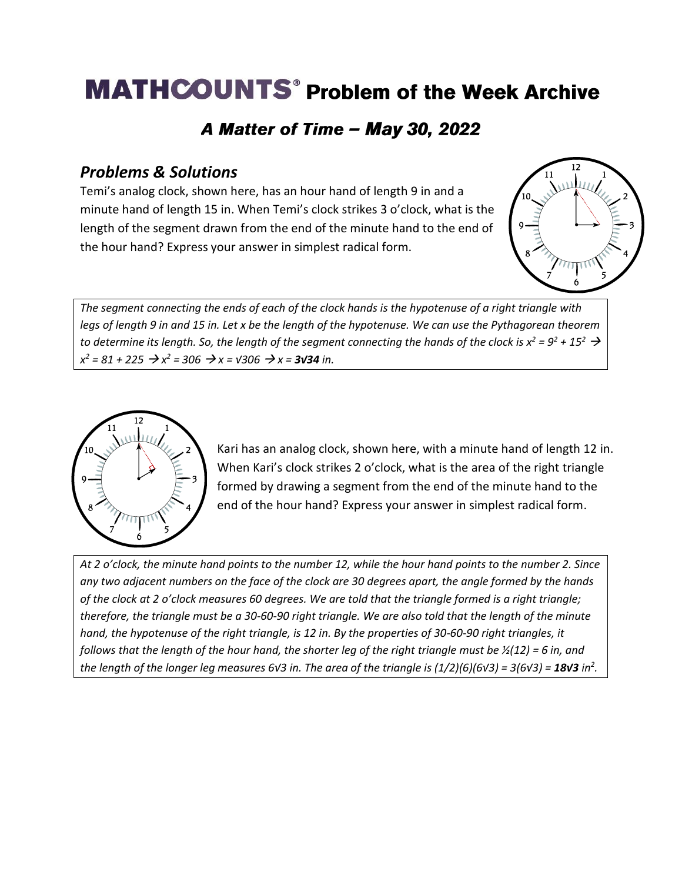# **MATHCOUNTS<sup>®</sup> Problem of the Week Archive**

### A Matter of Time - May 30, 2022

#### *Problems & Solutions*

Temi's analog clock, shown here, has an hour hand of length 9 in and a minute hand of length 15 in. When Temi's clock strikes 3 o'clock, what is the length of the segment drawn from the end of the minute hand to the end of the hour hand? Express your answer in simplest radical form.



*The segment connecting the ends of each of the clock hands is the hypotenuse of a right triangle with legs of length 9 in and 15 in. Let x be the length of the hypotenuse. We can use the Pythagorean theorem to determine its length. So, the length of the segment connecting the hands of the clock is*  $x^2 = 9^2 + 15^2 \rightarrow$ *x*<sup>2</sup> = 81 + 225 → *x*<sup>2</sup> = 306 → *x* =  $\sqrt{306}$  → *x* = **3√34** *in.* 



Kari has an analog clock, shown here, with a minute hand of length 12 in. When Kari's clock strikes 2 o'clock, what is the area of the right triangle formed by drawing a segment from the end of the minute hand to the end of the hour hand? Express your answer in simplest radical form.

*At 2 o'clock, the minute hand points to the number 12, while the hour hand points to the number 2. Since any two adjacent numbers on the face of the clock are 30 degrees apart, the angle formed by the hands of the clock at 2 o'clock measures 60 degrees. We are told that the triangle formed is a right triangle; therefore, the triangle must be a 30-60-90 right triangle. We are also told that the length of the minute hand, the hypotenuse of the right triangle, is 12 in. By the properties of 30-60-90 right triangles, it follows that the length of the hour hand, the shorter leg of the right triangle must be*  $\frac{1}{2}(12) = 6$  in, and *the length of the longer leg measures 6√3 in. The area of the triangle is (1/2)(6)(6√3) = 3(6√3) = 18√3 in<sup>2</sup> .*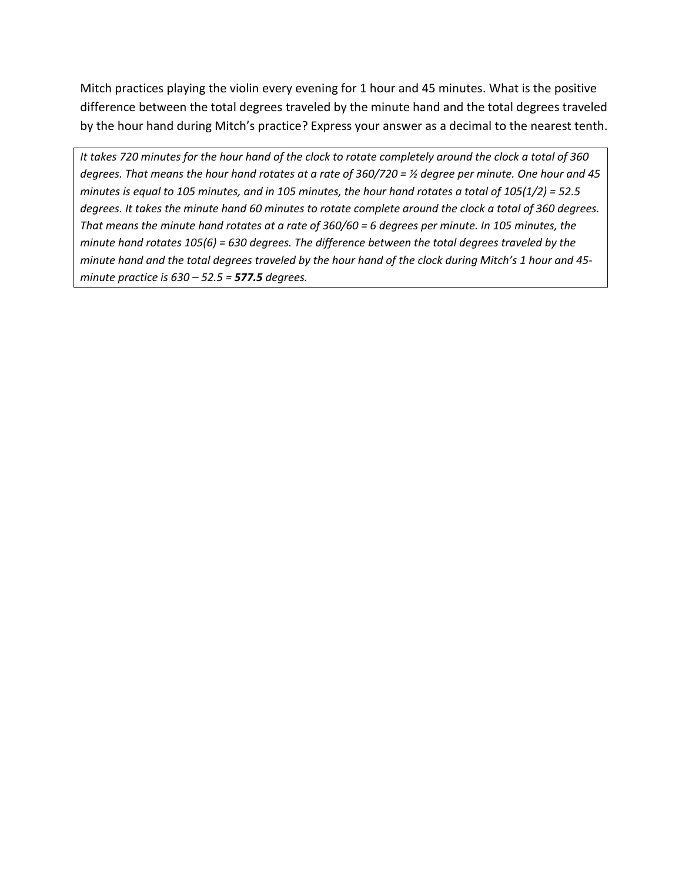Mitch practices playing the violin every evening for 1 hour and 45 minutes. What is the positive difference between the total degrees traveled by the minute hand and the total degrees traveled by the hour hand during Mitch's practice? Express your answer as a decimal to the nearest tenth.

*It takes 720 minutes for the hour hand of the clock to rotate completely around the clock a total of 360 degrees. That means the hour hand rotates at a rate of 360/720 = ½ degree per minute. One hour and 45 minutes is equal to 105 minutes, and in 105 minutes, the hour hand rotates a total of 105(1/2) = 52.5 degrees. It takes the minute hand 60 minutes to rotate complete around the clock a total of 360 degrees. That means the minute hand rotates at a rate of 360/60 = 6 degrees per minute. In 105 minutes, the minute hand rotates 105(6) = 630 degrees. The difference between the total degrees traveled by the minute hand and the total degrees traveled by the hour hand of the clock during Mitch's 1 hour and 45 minute practice is 630 – 52.5 = 577.5 degrees.*